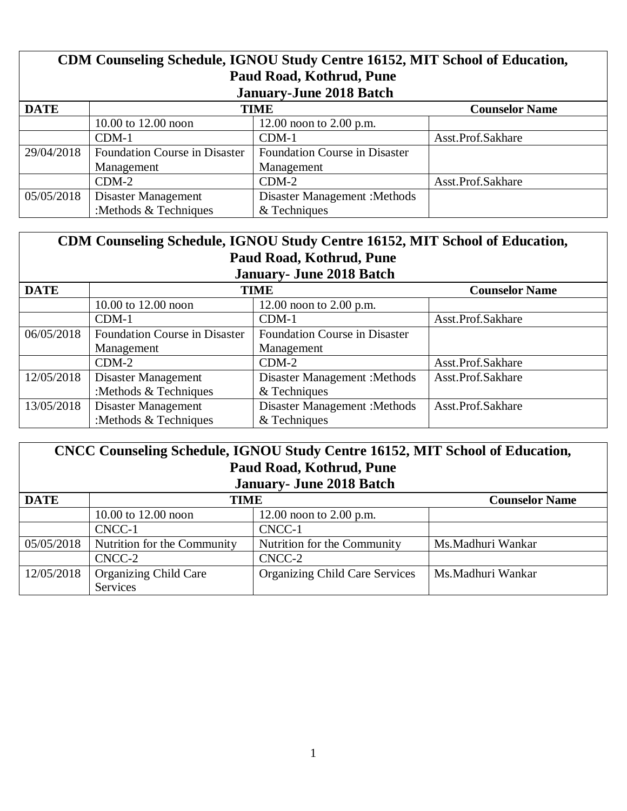| CDM Counseling Schedule, IGNOU Study Centre 16152, MIT School of Education,<br>Paud Road, Kothrud, Pune<br><b>January-June 2018 Batch</b> |                                      |                                      |                   |  |
|-------------------------------------------------------------------------------------------------------------------------------------------|--------------------------------------|--------------------------------------|-------------------|--|
| <b>DATE</b>                                                                                                                               | <b>Counselor Name</b><br><b>TIME</b> |                                      |                   |  |
|                                                                                                                                           | 10.00 to 12.00 noon                  | 12.00 noon to 2.00 p.m.              |                   |  |
|                                                                                                                                           | $CDM-1$                              | $CDM-1$                              | Asst.Prof.Sakhare |  |
| 29/04/2018                                                                                                                                | <b>Foundation Course in Disaster</b> | <b>Foundation Course in Disaster</b> |                   |  |
|                                                                                                                                           | Management                           | Management                           |                   |  |
|                                                                                                                                           | $CDM-2$                              | $CDM-2$                              | Asst.Prof.Sakhare |  |
| 05/05/2018                                                                                                                                | Disaster Management                  | <b>Disaster Management : Methods</b> |                   |  |
|                                                                                                                                           | :Methods $&$ Techniques              | & Techniques                         |                   |  |

| CDM Counseling Schedule, IGNOU Study Centre 16152, MIT School of Education,<br>Paud Road, Kothrud, Pune |                                      |                                      |                   |
|---------------------------------------------------------------------------------------------------------|--------------------------------------|--------------------------------------|-------------------|
| <b>January- June 2018 Batch</b><br><b>DATE</b><br><b>Counselor Name</b><br><b>TIME</b>                  |                                      |                                      |                   |
|                                                                                                         | 10.00 to 12.00 noon                  | 12.00 noon to $2.00$ p.m.            |                   |
|                                                                                                         | $CDM-1$                              | $CDM-1$                              | Asst.Prof.Sakhare |
| 06/05/2018                                                                                              | <b>Foundation Course in Disaster</b> | <b>Foundation Course in Disaster</b> |                   |
|                                                                                                         | Management                           | Management                           |                   |
|                                                                                                         | $CDM-2$                              | $CDM-2$                              | Asst.Prof.Sakhare |
| 12/05/2018                                                                                              | Disaster Management                  | Disaster Management : Methods        | Asst.Prof.Sakhare |
|                                                                                                         | :Methods & Techniques                | & Techniques                         |                   |
| 13/05/2018                                                                                              | Disaster Management                  | <b>Disaster Management : Methods</b> | Asst.Prof.Sakhare |
|                                                                                                         | :Methods & Techniques                | & Techniques                         |                   |

| CNCC Counseling Schedule, IGNOU Study Centre 16152, MIT School of Education,<br>Paud Road, Kothrud, Pune<br><b>January- June 2018 Batch</b> |                                                 |                                       |                   |
|---------------------------------------------------------------------------------------------------------------------------------------------|-------------------------------------------------|---------------------------------------|-------------------|
| <b>DATE</b>                                                                                                                                 | <b>TIME</b><br><b>Counselor Name</b>            |                                       |                   |
|                                                                                                                                             | 10.00 to $12.00$ noon                           | 12.00 noon to 2.00 p.m.               |                   |
|                                                                                                                                             | CNCC-1                                          | CNCC-1                                |                   |
| 05/05/2018                                                                                                                                  | Nutrition for the Community                     | Nutrition for the Community           | Ms.Madhuri Wankar |
|                                                                                                                                             | CNCC-2                                          | CNCC-2                                |                   |
| 12/05/2018                                                                                                                                  | <b>Organizing Child Care</b><br><b>Services</b> | <b>Organizing Child Care Services</b> | Ms.Madhuri Wankar |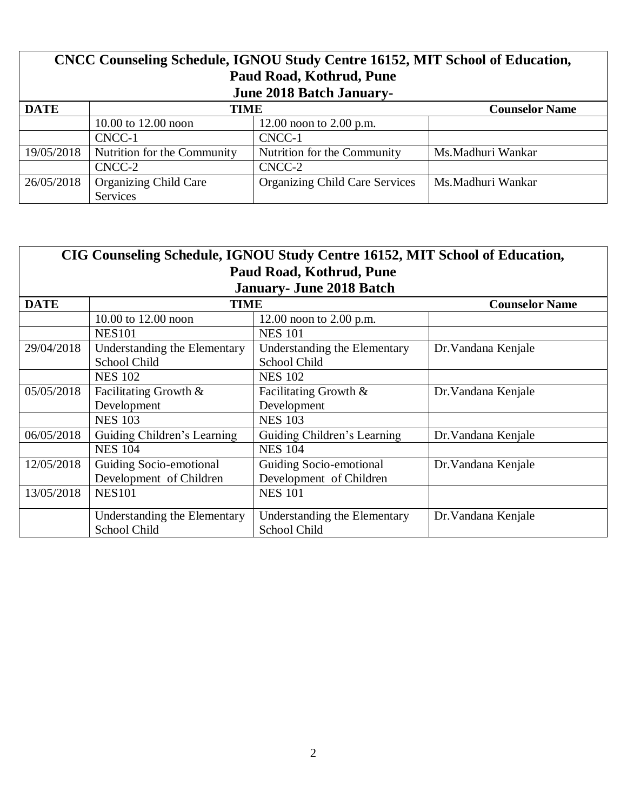| CNCC Counseling Schedule, IGNOU Study Centre 16152, MIT School of Education,<br>Paud Road, Kothrud, Pune<br><b>June 2018 Batch January-</b> |                                          |                                       |                       |
|---------------------------------------------------------------------------------------------------------------------------------------------|------------------------------------------|---------------------------------------|-----------------------|
| <b>DATE</b>                                                                                                                                 | <b>TIME</b>                              |                                       | <b>Counselor Name</b> |
|                                                                                                                                             | 10.00 to $12.00$ noon                    | 12.00 noon to $2.00$ p.m.             |                       |
|                                                                                                                                             | CNCC-1                                   | CNCC-1                                |                       |
| 19/05/2018                                                                                                                                  | Nutrition for the Community              | Nutrition for the Community           | Ms.Madhuri Wankar     |
|                                                                                                                                             | CNCC-2                                   | CNCC-2                                |                       |
| 26/05/2018                                                                                                                                  | <b>Organizing Child Care</b><br>Services | <b>Organizing Child Care Services</b> | Ms.Madhuri Wankar     |

| CIG Counseling Schedule, IGNOU Study Centre 16152, MIT School of Education, |                              |                                 |                       |  |
|-----------------------------------------------------------------------------|------------------------------|---------------------------------|-----------------------|--|
| Paud Road, Kothrud, Pune                                                    |                              |                                 |                       |  |
|                                                                             |                              | <b>January- June 2018 Batch</b> |                       |  |
| <b>DATE</b>                                                                 | <b>TIME</b>                  |                                 | <b>Counselor Name</b> |  |
|                                                                             | 10.00 to 12.00 noon          | 12.00 noon to $2.00$ p.m.       |                       |  |
|                                                                             | <b>NES101</b>                | <b>NES 101</b>                  |                       |  |
| 29/04/2018                                                                  | Understanding the Elementary | Understanding the Elementary    | Dr. Vandana Kenjale   |  |
|                                                                             | School Child                 | School Child                    |                       |  |
|                                                                             | <b>NES 102</b>               | <b>NES 102</b>                  |                       |  |
| 05/05/2018                                                                  | Facilitating Growth &        | Facilitating Growth &           | Dr. Vandana Kenjale   |  |
|                                                                             | Development                  | Development                     |                       |  |
|                                                                             | <b>NES 103</b>               | <b>NES 103</b>                  |                       |  |
| 06/05/2018                                                                  | Guiding Children's Learning  | Guiding Children's Learning     | Dr. Vandana Kenjale   |  |
|                                                                             | <b>NES 104</b>               | <b>NES 104</b>                  |                       |  |
| 12/05/2018                                                                  | Guiding Socio-emotional      | Guiding Socio-emotional         | Dr. Vandana Kenjale   |  |
|                                                                             | Development of Children      | Development of Children         |                       |  |
| 13/05/2018                                                                  | <b>NES101</b>                | <b>NES 101</b>                  |                       |  |
|                                                                             |                              |                                 |                       |  |
|                                                                             | Understanding the Elementary | Understanding the Elementary    | Dr. Vandana Kenjale   |  |
|                                                                             | School Child                 | School Child                    |                       |  |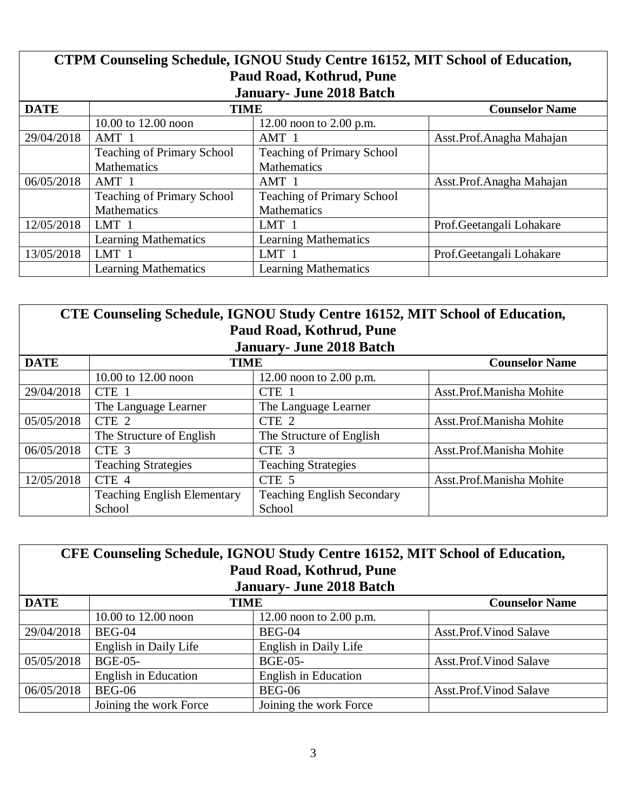| CTPM Counseling Schedule, IGNOU Study Centre 16152, MIT School of Education, |                                   |                                   |                            |
|------------------------------------------------------------------------------|-----------------------------------|-----------------------------------|----------------------------|
| Paud Road, Kothrud, Pune                                                     |                                   |                                   |                            |
|                                                                              |                                   | <b>January- June 2018 Batch</b>   |                            |
| <b>DATE</b>                                                                  | <b>TIME</b>                       |                                   | <b>Counselor Name</b>      |
|                                                                              | 10.00 to 12.00 noon               | 12.00 noon to $2.00$ p.m.         |                            |
| 29/04/2018                                                                   | AMT 1                             | AMT 1                             | Asst. Prof. Anagha Mahajan |
|                                                                              | <b>Teaching of Primary School</b> | <b>Teaching of Primary School</b> |                            |
|                                                                              | <b>Mathematics</b>                | <b>Mathematics</b>                |                            |
| 06/05/2018                                                                   | AMT 1                             | AMT 1                             | Asst.Prof.Anagha Mahajan   |
|                                                                              | <b>Teaching of Primary School</b> | <b>Teaching of Primary School</b> |                            |
|                                                                              | <b>Mathematics</b>                | <b>Mathematics</b>                |                            |
| 12/05/2018                                                                   | LMT <sub>1</sub>                  | LMT <sub>1</sub>                  | Prof. Geetangali Lohakare  |
|                                                                              | <b>Learning Mathematics</b>       | <b>Learning Mathematics</b>       |                            |
| 13/05/2018                                                                   | LMT 1                             | LMT 1                             | Prof.Geetangali Lohakare   |
|                                                                              | <b>Learning Mathematics</b>       | <b>Learning Mathematics</b>       |                            |

| CTE Counseling Schedule, IGNOU Study Centre 16152, MIT School of Education,<br>Paud Road, Kothrud, Pune<br><b>January- June 2018 Batch</b> |                                    |                                   |                          |
|--------------------------------------------------------------------------------------------------------------------------------------------|------------------------------------|-----------------------------------|--------------------------|
| <b>DATE</b><br><b>TIME</b><br><b>Counselor Name</b>                                                                                        |                                    |                                   |                          |
|                                                                                                                                            | 10.00 to 12.00 noon                | 12.00 noon to 2.00 p.m.           |                          |
| 29/04/2018                                                                                                                                 | CTE 1                              | CTE 1                             | Asst.Prof.Manisha Mohite |
|                                                                                                                                            | The Language Learner               | The Language Learner              |                          |
| 05/05/2018                                                                                                                                 | CTE 2                              | CTE 2                             | Asst.Prof.Manisha Mohite |
|                                                                                                                                            | The Structure of English           | The Structure of English          |                          |
| 06/05/2018                                                                                                                                 | CTE <sub>3</sub>                   | CTE <sub>3</sub>                  | Asst.Prof.Manisha Mohite |
|                                                                                                                                            | <b>Teaching Strategies</b>         | <b>Teaching Strategies</b>        |                          |
| 12/05/2018                                                                                                                                 | CTE 4                              | CTE <sub>5</sub>                  | Asst.Prof.Manisha Mohite |
|                                                                                                                                            | <b>Teaching English Elementary</b> | <b>Teaching English Secondary</b> |                          |
|                                                                                                                                            | School                             | School                            |                          |

| CFE Counseling Schedule, IGNOU Study Centre 16152, MIT School of Education, |                                 |                             |                               |  |  |
|-----------------------------------------------------------------------------|---------------------------------|-----------------------------|-------------------------------|--|--|
|                                                                             |                                 | Paud Road, Kothrud, Pune    |                               |  |  |
|                                                                             | <b>January- June 2018 Batch</b> |                             |                               |  |  |
| <b>DATE</b>                                                                 | TIME<br><b>Counselor Name</b>   |                             |                               |  |  |
|                                                                             | 10.00 to 12.00 noon             | 12.00 noon to $2.00$ p.m.   |                               |  |  |
| 29/04/2018                                                                  | $BEG-04$                        | BEG-04                      | <b>Asst.Prof.Vinod Salave</b> |  |  |
|                                                                             | English in Daily Life           | English in Daily Life       |                               |  |  |
| 05/05/2018                                                                  | <b>BGE-05-</b>                  | <b>BGE-05-</b>              | <b>Asst.Prof.Vinod Salave</b> |  |  |
|                                                                             | <b>English in Education</b>     | <b>English in Education</b> |                               |  |  |
| 06/05/2018                                                                  | BEG-06                          | <b>BEG-06</b>               | <b>Asst.Prof.Vinod Salave</b> |  |  |
|                                                                             | Joining the work Force          | Joining the work Force      |                               |  |  |